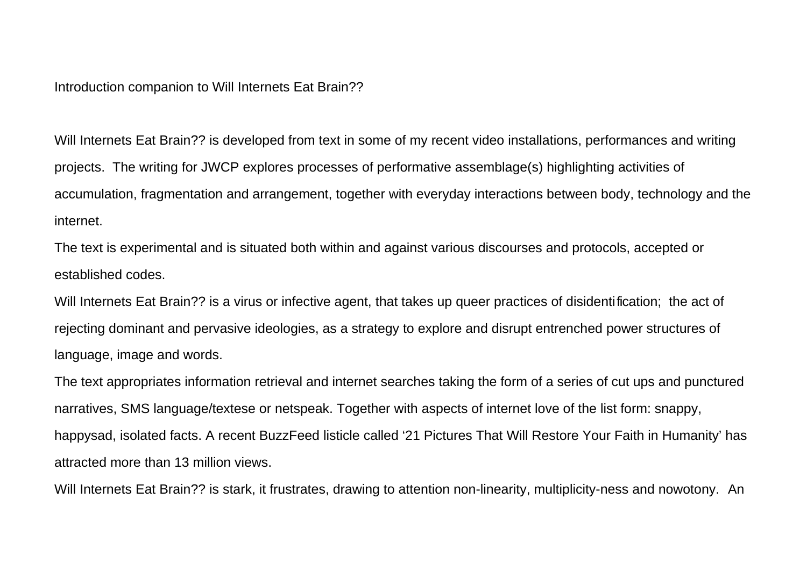Introduction companion to Will Internets Eat Brain??

Will Internets Eat Brain?? is developed from text in some of my recent video installations, performances and writing projects. The writing for JWCP explores processes of performative assemblage(s) highlighting activities of accumulation, fragmentation and arrangement, together with everyday interactions between body, technology and the internet.

The text is experimental and is situated both within and against various discourses and protocols, accepted or established codes.

Will Internets Eat Brain?? is a virus or infective agent, that takes up queer practices of disidentification; the act of rejecting dominant and pervasive ideologies, as a strategy to explore and disrupt entrenched power structures of language, image and words.

The text appropriates information retrieval and internet searches taking the form of a series of cut ups and punctured narratives, SMS language/textese or netspeak. Together with aspects of internet love of the list form: snappy, happysad, isolated facts. A recent BuzzFeed listicle called '21 Pictures That Will Restore Your Faith in Humanity' has attracted more than 13 million views.

Will Internets Eat Brain?? is stark, it frustrates, drawing to attention non-linearity, multiplicity-ness and nowotony. An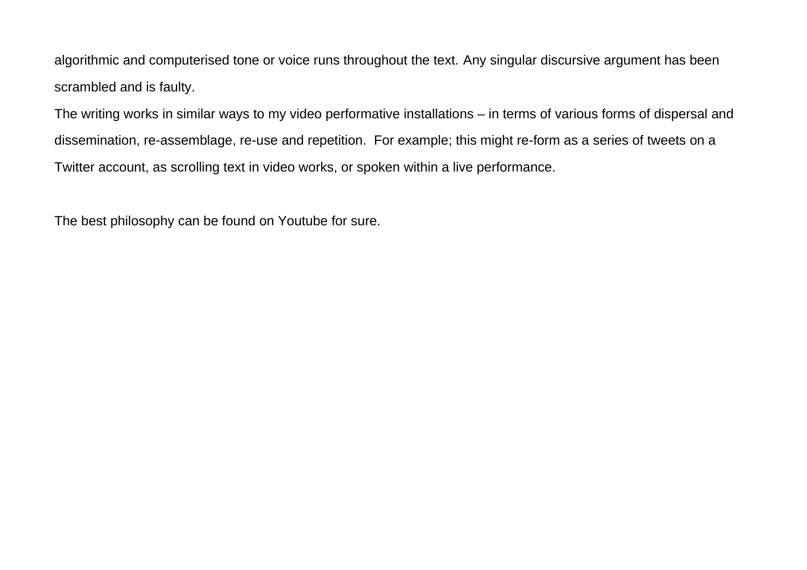algorithmic and computerised tone or voice runs throughout the text. Any singular discursive argument has been scrambled and is faulty.

The writing works in similar ways to my video performative installations – in terms of various forms of dispersal and dissemination, re-assemblage, re-use and repetition. For example; this might re-form as a series of tweets on a Twitter account, as scrolling text in video works, or spoken within a live performance.

The best philosophy can be found on Youtube for sure.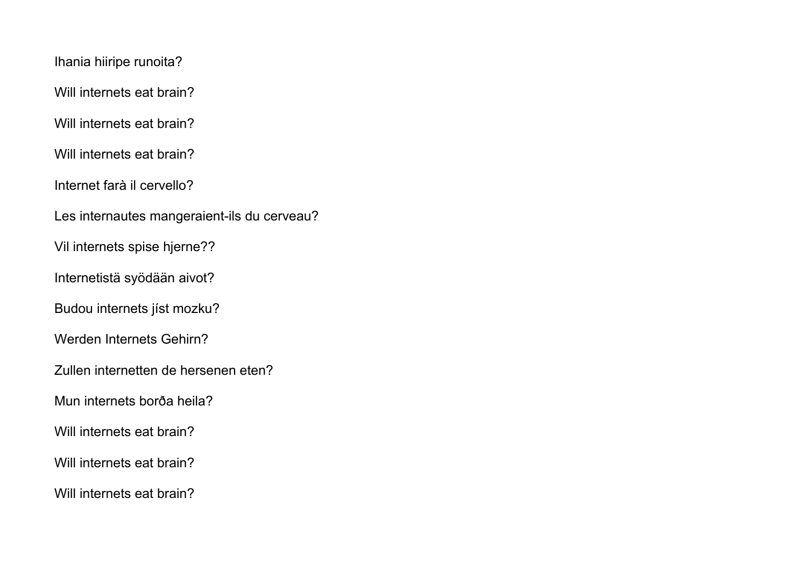Ihania hiiripe runoita? Will internets eat brain? Will internets eat brain? Will internets eat brain? Internet farà il cervello? Les internautes mangeraient-ils du cerveau? Vil internets spise hjerne?? Internetistä syödään aivot? Budou internets jist mozku? Werden Internets Gehirn? Zullen internetten de hersenen eten? Mun internets borða heila? Will internets eat brain? Will internets eat brain? Will internets eat brain?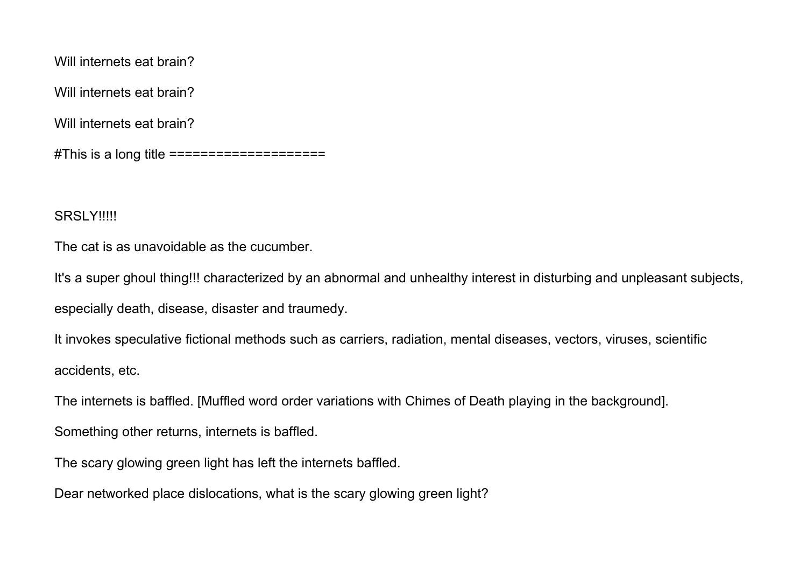Will internets eat brain?

Will internets eat brain?

Will internets eat brain?

#This is a long title  $=$ =====================

SRSLY!!!!!

The cat is as unavoidable as the cucumber.

It's a super ghoul thing!!! characterized by an abnormal and unhealthy interest in disturbing and unpleasant subjects, especially death, disease, disaster and traumedy.

It invokes speculative fictional methods such as carriers, radiation, mental diseases, vectors, viruses, scientific accidents, etc.

The internets is baffled. [Muffled word order variations with Chimes of Death playing in the background].

Something other returns, internets is baffled.

The scary glowing green light has left the internets baffled.

Dear networked place dislocations, what is the scary glowing green light?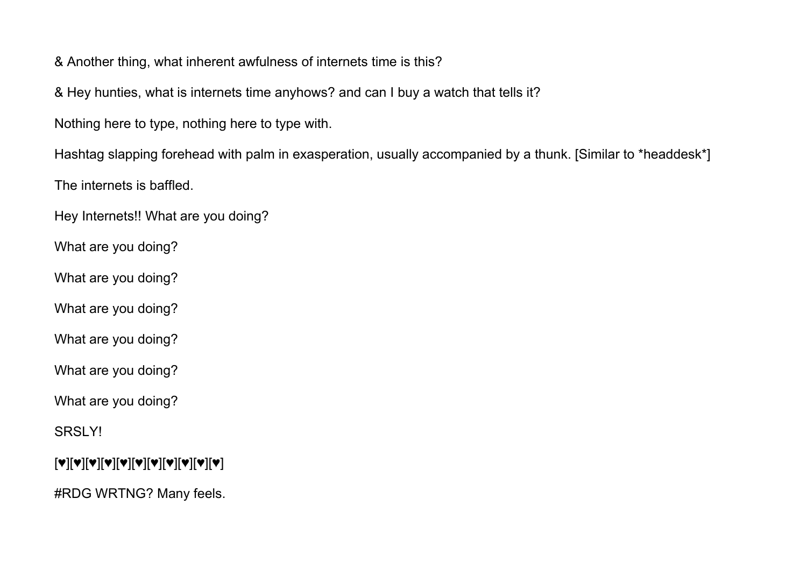& Another thing, what inherent awfulness of internets time is this?

& Hey hunties, what is internets time anyhows? and can I buy a watch that tells it?

Nothing here to type, nothing here to type with.

Hashtag slapping forehead with palm in exasperation, usually accompanied by a thunk. [Similar to \*headdesk\*] The internets is baffled.

Hey Internets!! What are you doing?

What are you doing?

What are you doing?

What are you doing?

What are you doing?

What are you doing?

What are you doing?

SRSLY!

# [♥][♥][♥][♥][♥][♥][♥][♥][♥][♥][♥]

#RDG WRTNG? Many feels.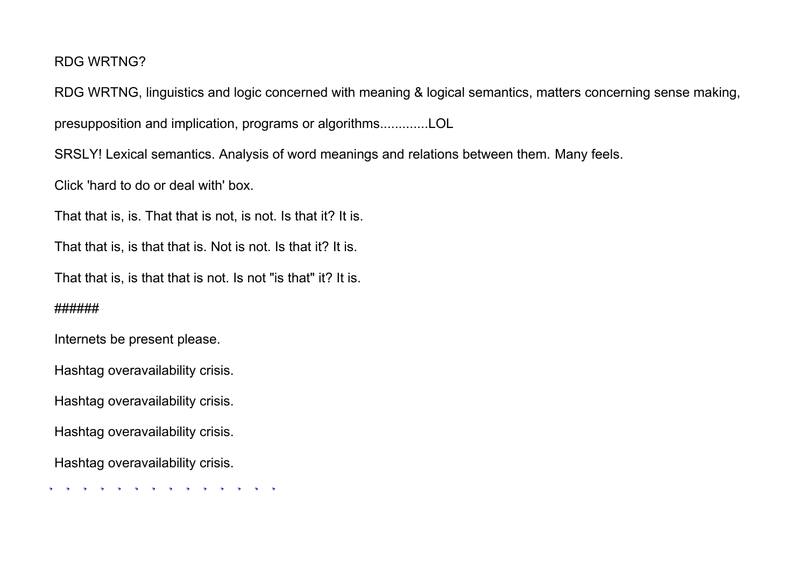RDG WRTNG?

RDG WRTNG, linguistics and logic concerned with meaning & logical semantics, matters concerning sense making, presupposition and implication, programs or algorithms.............LOL

SRSLY! Lexical semantics. Analysis of word meanings and relations between them. Many feels.

Click 'hard to do or deal with' box.

That that is, is. That that is not, is not. Is that it? It is.

That that is, is that that is. Not is not. Is that it? It is.

That that is, is that that is not. Is not "is that" it? It is.

#### ######

Internets be present please.

Hashtag overavailability crisis.

Hashtag overavailability crisis.

Hashtag overavailability crisis.

Hashtag overavailability crisis.

. . . . . . . . . . . . . .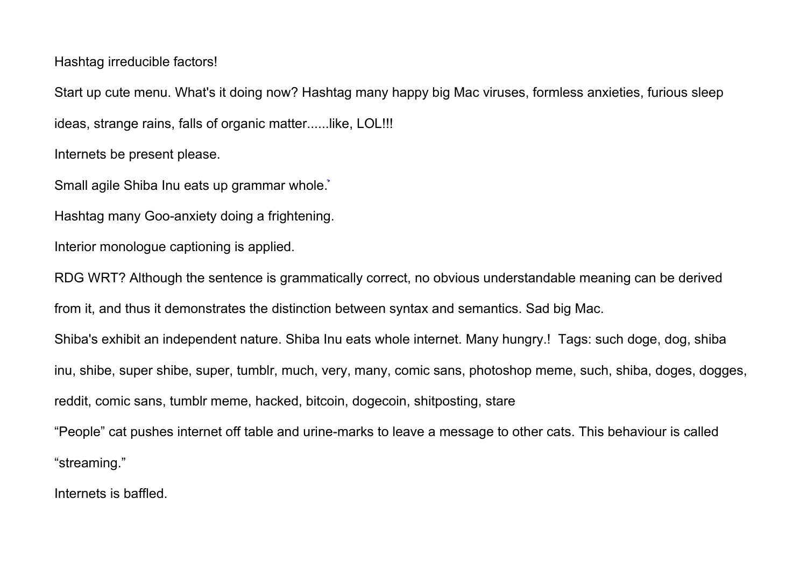Hashtag irreducible factors!

Start up cute menu. What's it doing now? Hashtag many happy big Mac viruses, formless anxieties, furious sleep ideas, strange rains, falls of organic matter......like, LOL!!! Internets be present please.

Small agile Shiba Inu eats up grammar whole.

Hashtag many Goo-anxiety doing a frightening.

Interior monologue captioning is applied.

RDG WRT? Although the sentence is grammatically correct, no obvious understandable meaning can be derived

from it, and thus it demonstrates the distinction between syntax and semantics. Sad big Mac.

Shiba's exhibit an independent nature. Shiba Inu eats whole internet. Many hungry.! Tags: such doge, dog, shiba inu, shibe, super shibe, super, tumblr, much, very, many, comic sans, photoshop meme, such, shiba, doges, dogges, reddit, comic sans, tumblr meme, hacked, bitcoin, dogecoin, shitposting, stare

"People" cat pushes internet off table and urine-marks to leave a message to other cats. This behaviour is called "streaming."

Internets is baffled.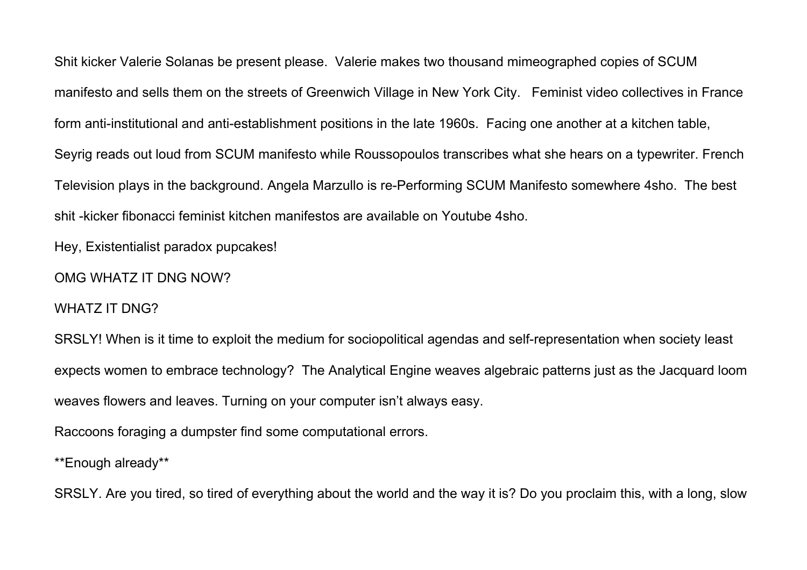Shit kicker Valerie Solanas be present please. Valerie makes two thousand mimeographed copies of SCUM manifesto and sells them on the streets of Greenwich Village in New York City. Feminist video collectives in France form anti-institutional and anti-establishment positions in the late 1960s. Facing one another at a kitchen table, Seyrig reads out loud from SCUM manifesto while Roussopoulos transcribes what she hears on a typewriter. French Television plays in the background. Angela Marzullo is re-Performing SCUM Manifesto somewhere 4sho. The best shit -kicker fibonacci feminist kitchen manifestos are available on Youtube 4sho.

Hey, Existentialist paradox pupcakes!

OMG WHATZ IT DNG NOW?

WHATZ IT DNG?

SRSLY! When is it time to exploit the medium for sociopolitical agendas and self-representation when society least expects women to embrace technology? The Analytical Engine weaves algebraic patterns just as the Jacquard loom weaves flowers and leaves. Turning on your computer isn't always easy.

Raccoons foraging a dumpster find some computational errors.

\*\*Enough already\*\*

SRSLY. Are you tired, so tired of everything about the world and the way it is? Do you proclaim this, with a long, slow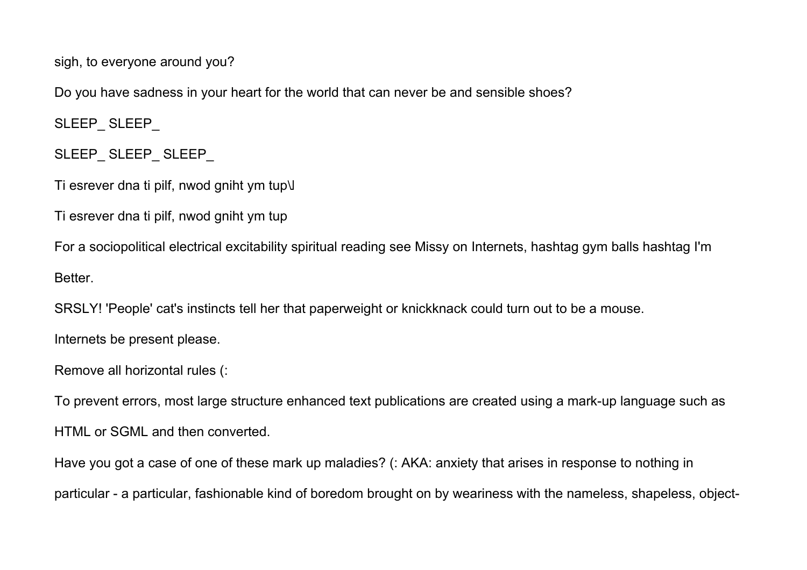sigh, to everyone around you?

Do you have sadness in your heart for the world that can never be and sensible shoes?

SLEEP\_SLEEP

SLEEP\_ SLEEP\_ SLEEP

Ti esrever dna ti pilf, nwod gniht ym tup

Ti esrever dna ti pilf, nwod gniht ym tup

For a sociopolitical electrical excitability spiritual reading see Missy on Internets, hashtag gym balls hashtag I'm Better.

SRSLY! 'People' cat's instincts tell her that paperweight or knickknack could turn out to be a mouse.

Internets be present please.

```
Remove all horizontal rules (:
```
To prevent errors, most large structure enhanced text publications are created using a mark-up language such as HTML or SGML and then converted.

Have you got a case of one of these mark up maladies? (: AKA: anxiety that arises in response to nothing in particular - a particular, fashionable kind of boredom brought on by weariness with the nameless, shapeless, object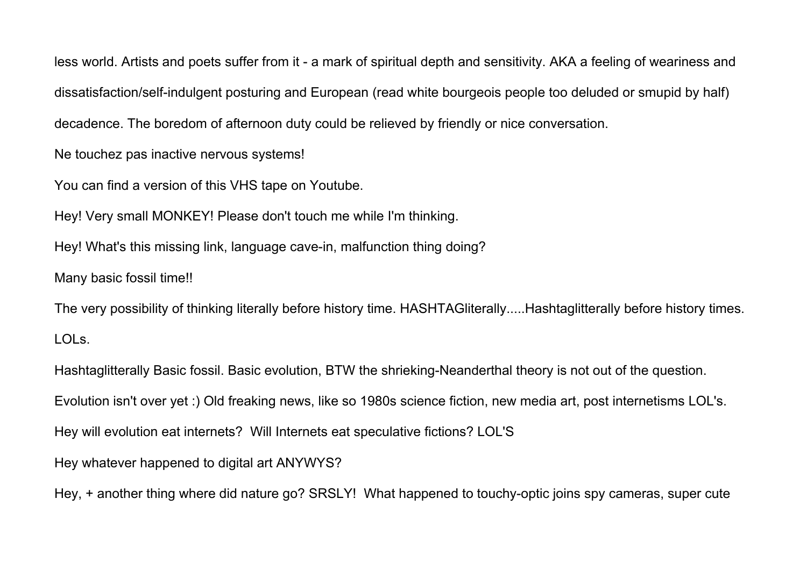less world. Artists and poets suffer from it - a mark of spiritual depth and sensitivity. AKA a feeling of weariness and dissatisfaction/self-indulgent posturing and European (read white bourgeois people too deluded or smupid by half) decadence. The boredom of afternoon duty could be relieved by friendly or nice conversation.

Ne touchez pas inactive nervous systems!

You can find a version of this VHS tape on Youtube.

Hey! Very small MONKEY! Please don't touch me while I'm thinking.

Hey! What's this missing link, language cave-in, malfunction thing doing?

Many basic fossil time!!

The very possibility of thinking literally before history time. HASHTAGliterally.....Hashtaglitterally before history times. LOLs.

Hashtaglitterally Basic fossil. Basic evolution, BTW the shrieking-Neanderthal theory is not out of the question. Evolution isn't over yet :) Old freaking news, like so 1980s science fiction, new media art, post internetisms LOL's. Hey will evolution eat internets? Will Internets eat speculative fictions? LOL'S Hey whatever happened to digital art ANYWYS?

Hey, + another thing where did nature go? SRSLY! What happened to touchy-optic joins spy cameras, super cute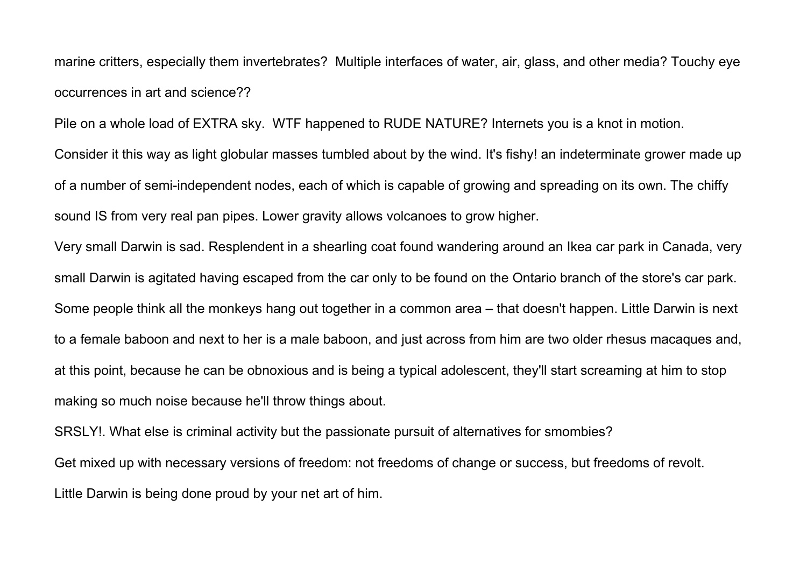marine critters, especially them invertebrates? Multiple interfaces of water, air, glass, and other media? Touchy eye occurrences in art and science??

Pile on a whole load of EXTRA sky. WTF happened to RUDE NATURE? Internets you is a knot in motion. Consider it this way as light globular masses tumbled about by the wind. It's fishy! an indeterminate grower made up of a number of semi-independent nodes, each of which is capable of growing and spreading on its own. The chiffy sound IS from very real pan pipes. Lower gravity allows volcanoes to grow higher.

Very small Darwin is sad. Resplendent in a shearling coat found wandering around an Ikea car park in Canada, very small Darwin is agitated having escaped from the car only to be found on the Ontario branch of the store's car park. Some people think all the monkeys hang out together in a common area – that doesn't happen. Little Darwin is next to a female baboon and next to her is a male baboon, and just across from him are two older rhesus macaques and, at this point, because he can be obnoxious and is being a typical adolescent, they'll start screaming at him to stop making so much noise because he'll throw things about.

SRSLY!. What else is criminal activity but the passionate pursuit of alternatives for smombies? Get mixed up with necessary versions of freedom: not freedoms of change or success, but freedoms of revolt. Little Darwin is being done proud by your net art of him.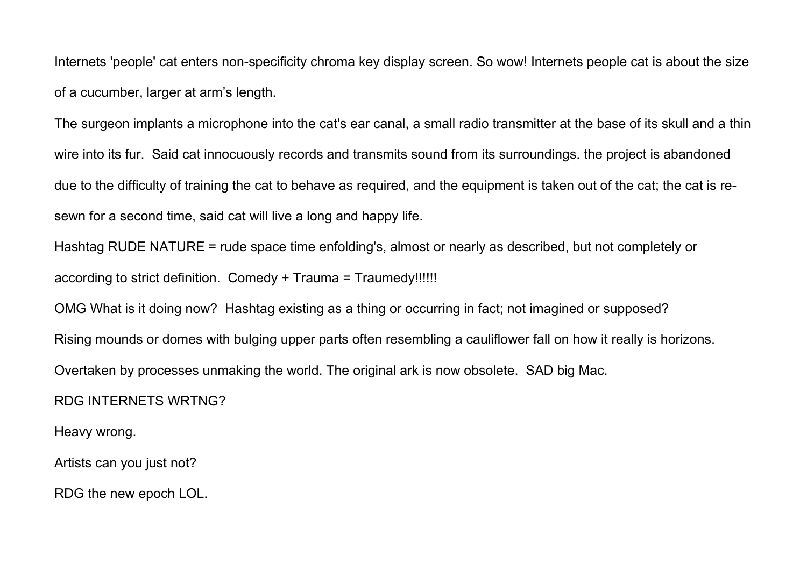Internets 'people' cat enters non-specificity chroma key display screen. So wow! Internets people cat is about the size of a cucumber, larger at arm's length.

The surgeon implants a microphone into the cat's ear canal, a small radio transmitter at the base of its skull and a thin wire into its fur. Said cat innocuously records and transmits sound from its surroundings. the project is abandoned due to the difficulty of training the cat to behave as required, and the equipment is taken out of the cat; the cat is resewn for a second time, said cat will live a long and happy life.

Hashtag RUDE NATURE = rude space time enfolding's, almost or nearly as described, but not completely or according to strict definition. Comedy + Trauma = Traumedy!!!!!!

OMG What is it doing now? Hashtag existing as a thing or occurring in fact; not imagined or supposed?

Rising mounds or domes with bulging upper parts often resembling a cauliflower fall on how it really is horizons.

Overtaken by processes unmaking the world. The original ark is now obsolete. SAD big Mac.

RDG INTERNETS WRTNG?

Heavy wrong.

Artists can you just not?

RDG the new epoch LOL.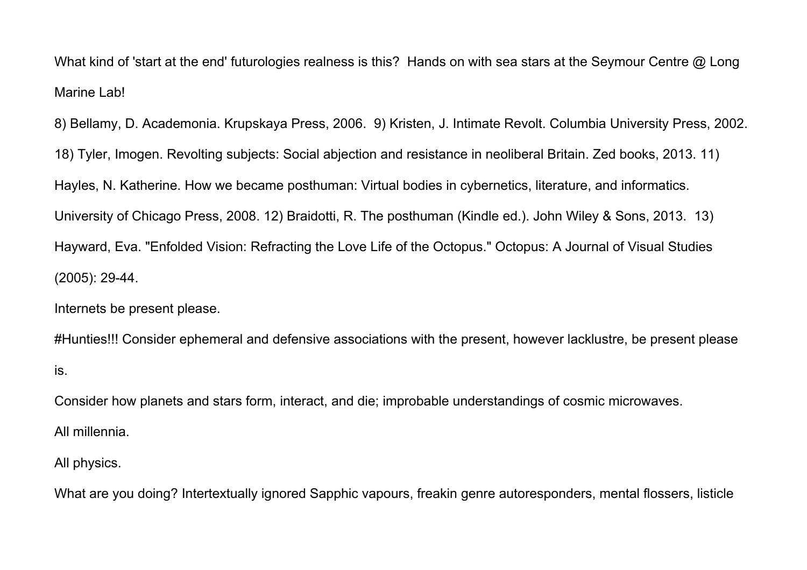What kind of 'start at the end' futurologies realness is this? Hands on with sea stars at the Seymour Centre @ Long Marine Lab!

8) Bellamy, D. Academonia. Krupskaya Press, 2006. 9) Kristen, J. Intimate Revolt. Columbia University Press, 2002. 18) Tyler, Imogen. Revolting subjects: Social abjection and resistance in neoliberal Britain. Zed books, 2013. 11) Hayles, N. Katherine. How we became posthuman: Virtual bodies in cybernetics, literature, and informatics. University of Chicago Press, 2008. 12) Braidotti, R. The posthuman (Kindle ed.). John Wiley & Sons, 2013. 13) Hayward, Eva. "Enfolded Vision: Refracting the Love Life of the Octopus." Octopus: A Journal of Visual Studies (2005): 29-44.

Internets be present please.

#Hunties!!! Consider ephemeral and defensive associations with the present, however lacklustre, be present please is.

Consider how planets and stars form, interact, and die; improbable understandings of cosmic microwaves. All millennia.

All physics.

What are you doing? Intertextually ignored Sapphic vapours, freakin genre autoresponders, mental flossers, listicle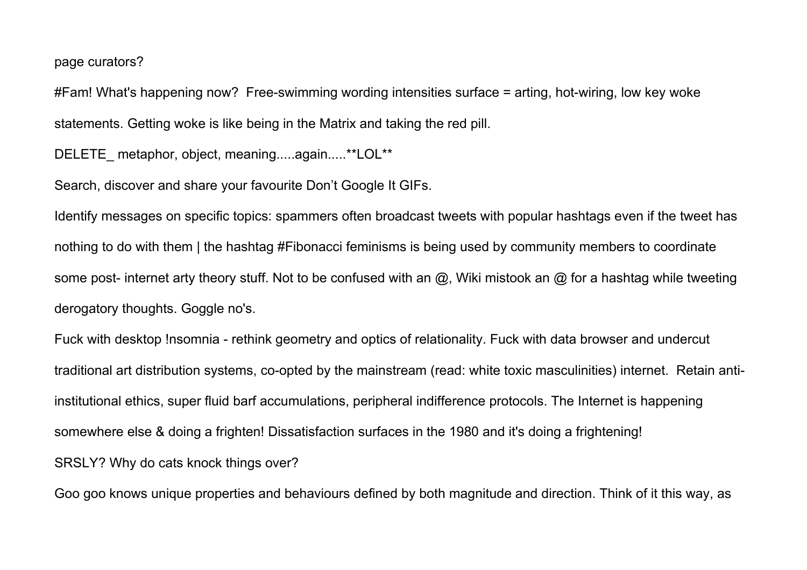page curators?

#Fam! What's happening now? Free-swimming wording intensities surface = arting, hot-wiring, low key woke statements. Getting woke is like being in the Matrix and taking the red pill.

DELETE metaphor, object, meaning.....again.....\*\*LOL\*\*

Search, discover and share your favourite Don't Google It GIFs.

Identify messages on specific topics: spammers often broadcast tweets with popular hashtags even if the tweet has nothing to do with them | the hashtag #Fibonacci feminisms is being used by community members to coordinate some post- internet arty theory stuff. Not to be confused with an @, Wiki mistook an @ for a hashtag while tweeting derogatory thoughts. Goggle no's.

Fuck with desktop !nsomnia - rethink geometry and optics of relationality. Fuck with data browser and undercut traditional art distribution systems, co-opted by the mainstream (read: white toxic masculinities) internet. Retain antiinstitutional ethics, super fluid barf accumulations, peripheral indifference protocols. The Internet is happening somewhere else & doing a frighten! Dissatisfaction surfaces in the 1980 and it's doing a frightening! SRSLY? Why do cats knock things over?

Goo goo knows unique properties and behaviours defined by both magnitude and direction. Think of it this way, as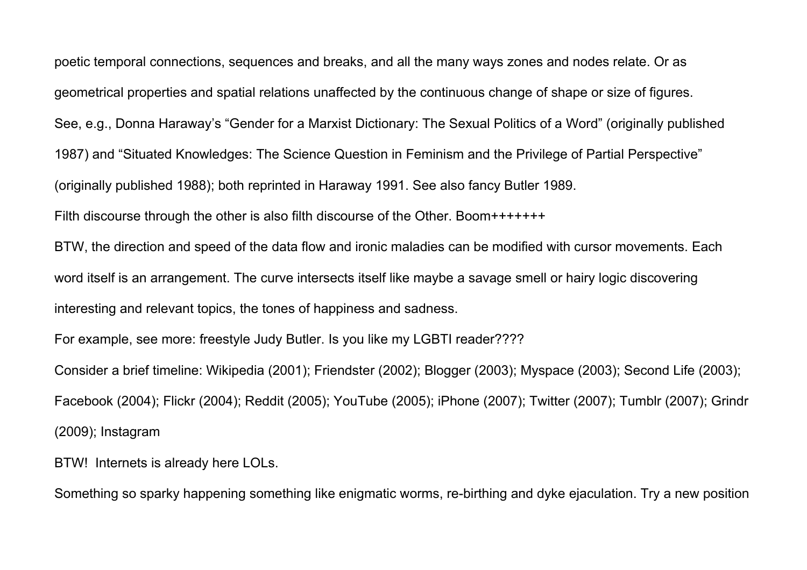poetic temporal connections, sequences and breaks, and all the many ways zones and nodes relate. Or as geometrical properties and spatial relations unaffected by the continuous change of shape or size of figures. See, e.g., Donna Haraway's "Gender for a Marxist Dictionary: The Sexual Politics of a Word" (originally published 1987) and "Situated Knowledges: The Science Question in Feminism and the Privilege of Partial Perspective" (originally published 1988); both reprinted in Haraway 1991. See also fancy Butler 1989. Filth discourse through the other is also filth discourse of the Other. Boom+++++++

BTW, the direction and speed of the data flow and ironic maladies can be modified with cursor movements. Each word itself is an arrangement. The curve intersects itself like maybe a savage smell or hairy logic discovering interesting and relevant topics, the tones of happiness and sadness.

For example, see more: freestyle Judy Butler. Is you like my LGBTI reader????

Consider a brief timeline: Wikipedia (2001); Friendster (2002); Blogger (2003); Myspace (2003); Second Life (2003); Facebook (2004); Flickr (2004); Reddit (2005); YouTube (2005); iPhone (2007); Twitter (2007); Tumblr (2007); Grindr (2009); Instagram

BTW! Internets is already here LOLs.

Something so sparky happening something like enigmatic worms, re-birthing and dyke ejaculation. Try a new position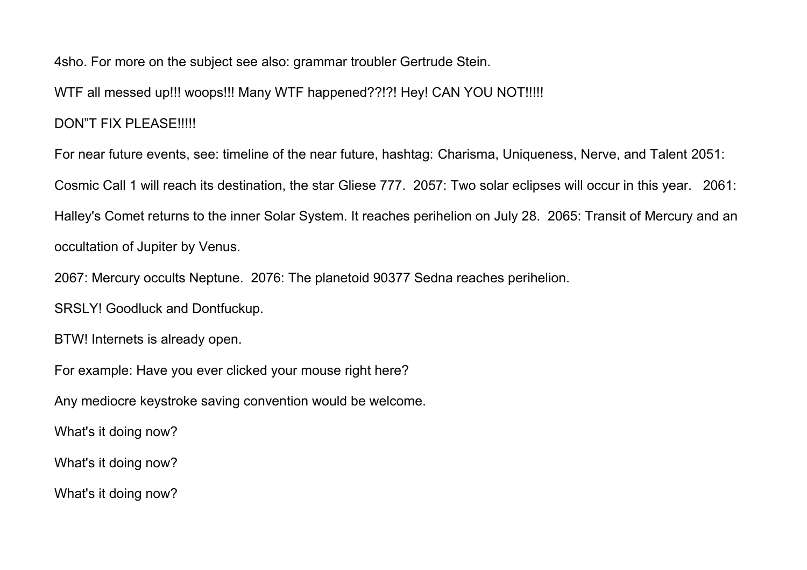## 4sho. For more on the subject see also: grammar troubler Gertrude Stein.

WTF all messed up!!! woops!!! Many WTF happened??!?! Hey! CAN YOU NOT!!!!!

DON"T FIX PLEASE!!!!!

For near future events, see: timeline of the near future, hashtag: Charisma, Uniqueness, Nerve, and Talent 2051: Cosmic Call 1 will reach its destination, the star Gliese 777. 2057: Two solar eclipses will occur in this year. 2061: Halley's Comet returns to the inner Solar System. It reaches perihelion on July 28. 2065: Transit of Mercury and an occultation of Jupiter by Venus.

2067: Mercury occults Neptune. 2076: The planetoid 90377 Sedna reaches perihelion.

SRSLY! Goodluck and Dontfuckup.

BTW! Internets is already open.

For example: Have you ever clicked your mouse right here?

Any mediocre keystroke saving convention would be welcome.

What's it doing now?

What's it doing now?

What's it doing now?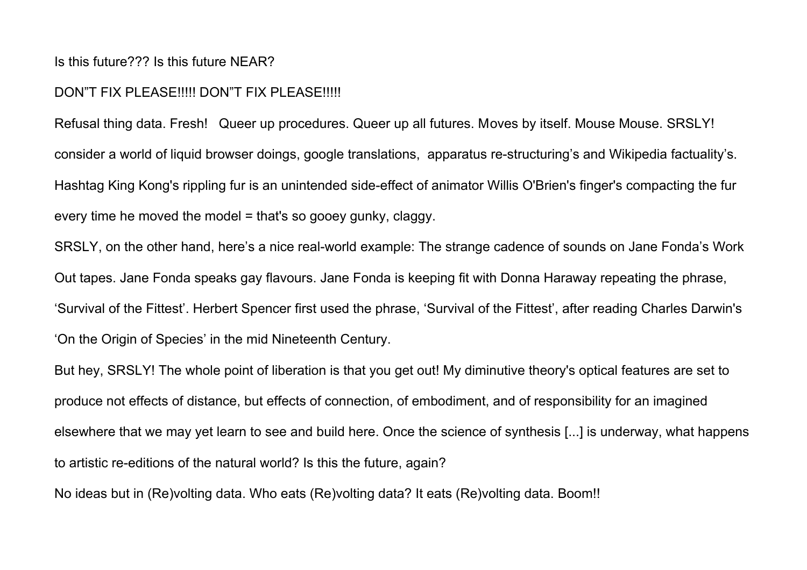#### Is this future??? Is this future NEAR?

### DON"T FIX PLEASE!!!!! DON"T FIX PLEASE!!!!!

Refusal thing data. Fresh! Queer up procedures. Queer up all futures. Moves by itself. Mouse Mouse. SRSLY! consider a world of liquid browser doings, google translations, apparatus re-structuring's and Wikipedia factuality's. Hashtag King Kong's rippling fur is an unintended side-effect of animator Willis O'Brien's finger's compacting the fur every time he moved the model = that's so gooey gunky, claggy.

SRSLY, on the other hand, here's a nice real-world example: The strange cadence of sounds on Jane Fonda's Work Out tapes. Jane Fonda speaks gay flavours. Jane Fonda is keeping fit with Donna Haraway repeating the phrase, ʻSurvival of the Fittest'. Herbert Spencer first used the phrase, ʻSurvival of the Fittest', after reading Charles Darwin's ʻOn the Origin of Species' in the mid Nineteenth Century.

But hey, SRSLY! The whole point of liberation is that you get out! My diminutive theory's optical features are set to produce not effects of distance, but effects of connection, of embodiment, and of responsibility for an imagined elsewhere that we may yet learn to see and build here. Once the science of synthesis [...] is underway, what happens to artistic re-editions of the natural world? Is this the future, again?

No ideas but in (Re)volting data. Who eats (Re)volting data? It eats (Re)volting data. Boom!!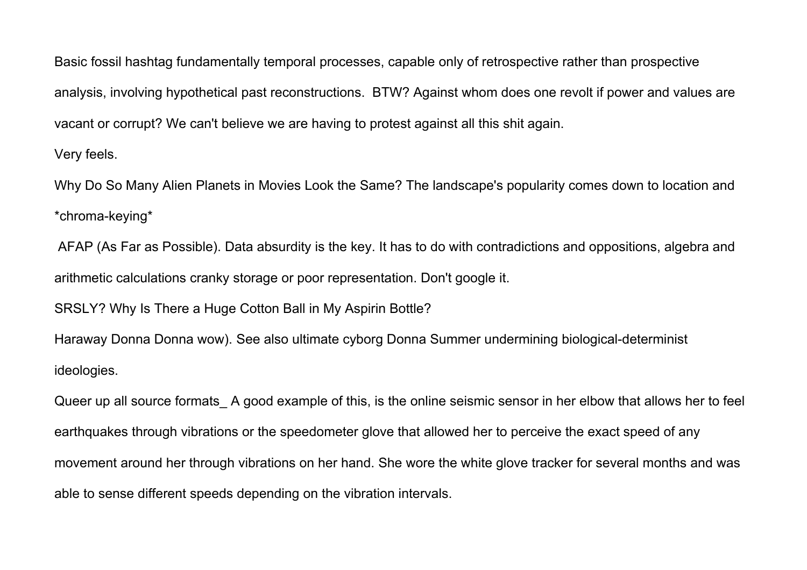Basic fossil hashtag fundamentally temporal processes, capable only of retrospective rather than prospective analysis, involving hypothetical past reconstructions. BTW? Against whom does one revolt if power and values are vacant or corrupt? We can't believe we are having to protest against all this shit again.

Very feels.

Why Do So Many Alien Planets in Movies Look the Same? The landscape's popularity comes down to location and \*chroma-keying\*

 AFAP (As Far as Possible). Data absurdity is the key. It has to do with contradictions and oppositions, algebra and arithmetic calculations cranky storage or poor representation. Don't google it.

SRSLY? Why Is There a Huge Cotton Ball in My Aspirin Bottle?

Haraway Donna Donna wow). See also ultimate cyborg Donna Summer undermining biological-determinist ideologies.

Queer up all source formats A good example of this, is the online seismic sensor in her elbow that allows her to feel earthquakes through vibrations or the speedometer glove that allowed her to perceive the exact speed of any movement around her through vibrations on her hand. She wore the white glove tracker for several months and was able to sense different speeds depending on the vibration intervals.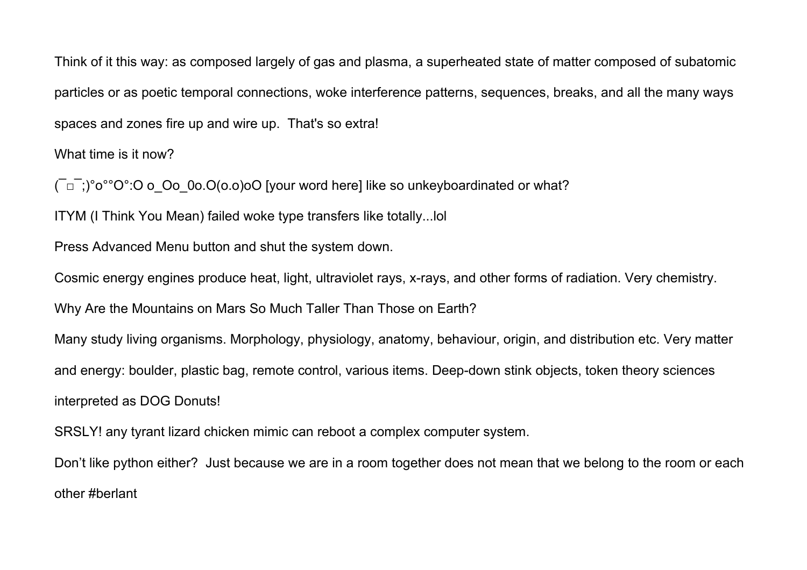Think of it this way: as composed largely of gas and plasma, a superheated state of matter composed of subatomic particles or as poetic temporal connections, woke interference patterns, sequences, breaks, and all the many ways spaces and zones fire up and wire up. That's so extra!

What time is it now?

 $(\overline{\phantom{a}}\,\overline{\phantom{a}}\,:\,S\,\circ\,\circ\,S\,\circ\,S\,\circ\,S)$  Oo  $\overline{0}$  Oo.O(o.o)oO [your word here] like so unkeyboardinated or what?

ITYM (I Think You Mean) failed woke type transfers like totally...lol

Press Advanced Menu button and shut the system down.

Cosmic energy engines produce heat, light, ultraviolet rays, x-rays, and other forms of radiation. Very chemistry.

Why Are the Mountains on Mars So Much Taller Than Those on Earth?

Many study living organisms. Morphology, physiology, anatomy, behaviour, origin, and distribution etc. Very matter and energy: boulder, plastic bag, remote control, various items. Deep-down stink objects, token theory sciences interpreted as DOG Donuts!

SRSLY! any tyrant lizard chicken mimic can reboot a complex computer system.

Don't like python either? Just because we are in a room together does not mean that we belong to the room or each other #berlant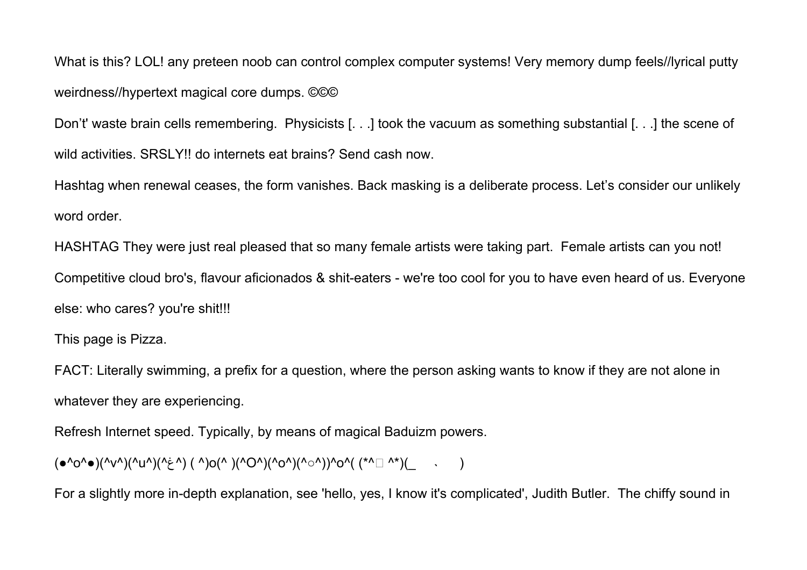What is this? LOL! any preteen noob can control complex computer systems! Very memory dump feels//lyrical putty weirdness//hypertext magical core dumps. ©©©

Don't' waste brain cells remembering. Physicists [. . .] took the vacuum as something substantial [. . .] the scene of wild activities. SRSLY!! do internets eat brains? Send cash now.

Hashtag when renewal ceases, the form vanishes. Back masking is a deliberate process. Let's consider our unlikely word order.

HASHTAG They were just real pleased that so many female artists were taking part. Female artists can you not! Competitive cloud bro's, flavour aficionados & shit-eaters - we're too cool for you to have even heard of us. Everyone else: who cares? you're shit!!!

This page is Pizza.

FACT: Literally swimming, a prefix for a question, where the person asking wants to know if they are not alone in whatever they are experiencing.

Refresh Internet speed. Typically, by means of magical Baduizm powers.

 $(\bullet^0 \circ^0 \circ^0)'(\sim_V^0)$ (^u^)(^&^) ( ^)o(^ )(^O^)(^o^)(^o^))^o^( (\*^ $\Box$  ^\*)(\_  $\Box$  、 $\Box$ )

For a slightly more in-depth explanation, see 'hello, yes, I know it's complicated', Judith Butler. The chiffy sound in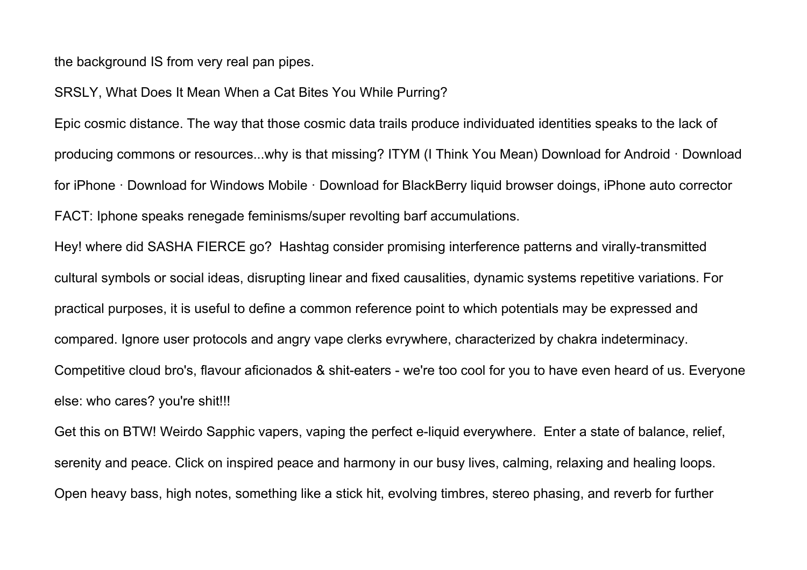the background IS from very real pan pipes.

SRSLY, What Does It Mean When a Cat Bites You While Purring?

Epic cosmic distance. The way that those cosmic data trails produce individuated identities speaks to the lack of producing commons or resources...why is that missing? ITYM (I Think You Mean) Download for Android · Download for iPhone · Download for Windows Mobile · Download for BlackBerry liquid browser doings, iPhone auto corrector FACT: Iphone speaks renegade feminisms/super revolting barf accumulations.

Hey! where did SASHA FIERCE go? Hashtag consider promising interference patterns and virally-transmitted cultural symbols or social ideas, disrupting linear and fixed causalities, dynamic systems repetitive variations. For practical purposes, it is useful to define a common reference point to which potentials may be expressed and compared. Ignore user protocols and angry vape clerks evrywhere, characterized by chakra indeterminacy. Competitive cloud bro's, flavour aficionados & shit-eaters - we're too cool for you to have even heard of us. Everyone else: who cares? you're shit!!!

Get this on BTW! Weirdo Sapphic vapers, vaping the perfect e-liquid everywhere. Enter a state of balance, relief, serenity and peace. Click on inspired peace and harmony in our busy lives, calming, relaxing and healing loops. Open heavy bass, high notes, something like a stick hit, evolving timbres, stereo phasing, and reverb for further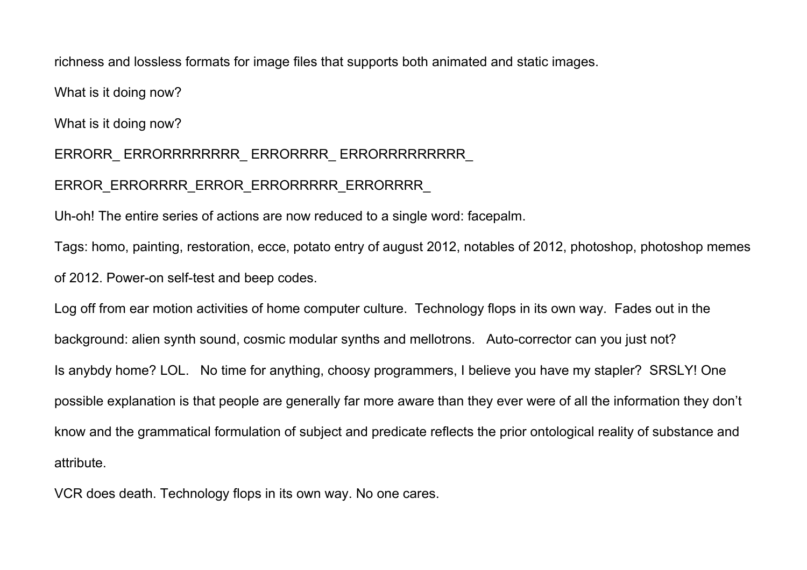richness and lossless formats for image files that supports both animated and static images.

What is it doing now?

What is it doing now?

# ERRORR\_ ERRORRRRRRRR\_ ERRORRRR\_ ERRORRRRRRRRR\_

## ERROR\_ERRORRRR\_ERROR\_ERRORRRRR\_ERRORRRR\_

Uh-oh! The entire series of actions are now reduced to a single word: facepalm.

Tags: homo, painting, restoration, ecce, potato entry of august 2012, notables of 2012, photoshop, photoshop memes of 2012. Power-on self-test and beep codes.

Log off from ear motion activities of home computer culture. Technology flops in its own way. Fades out in the background: alien synth sound, cosmic modular synths and mellotrons. Auto-corrector can you just not? Is anybdy home? LOL. No time for anything, choosy programmers, I believe you have my stapler? SRSLY! One possible explanation is that people are generally far more aware than they ever were of all the information they don't know and the grammatical formulation of subject and predicate reflects the prior ontological reality of substance and attribute.

VCR does death. Technology flops in its own way. No one cares.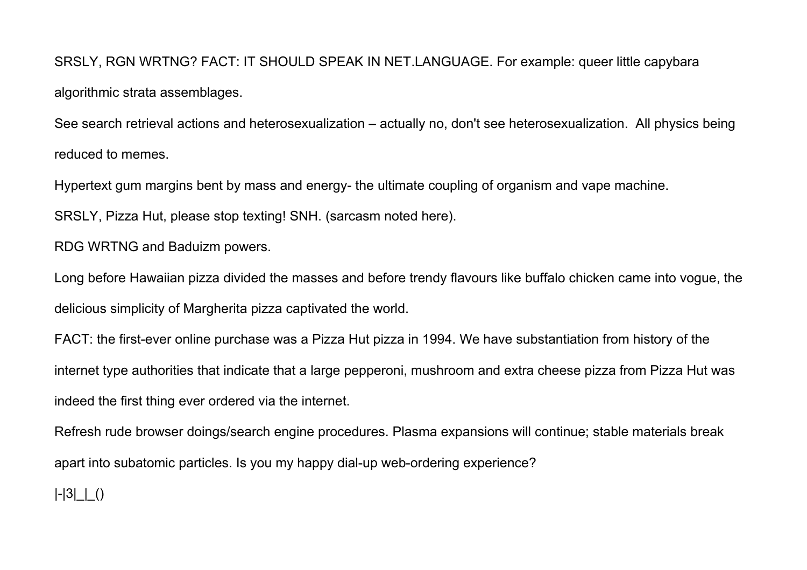SRSLY, RGN WRTNG? FACT: IT SHOULD SPEAK IN NET.LANGUAGE. For example: queer little capybara algorithmic strata assemblages.

See search retrieval actions and heterosexualization – actually no, don't see heterosexualization. All physics being reduced to memes.

Hypertext gum margins bent by mass and energy- the ultimate coupling of organism and vape machine.

SRSLY, Pizza Hut, please stop texting! SNH. (sarcasm noted here).

RDG WRTNG and Baduizm powers.

Long before Hawaiian pizza divided the masses and before trendy flavours like buffalo chicken came into vogue, the delicious simplicity of Margherita pizza captivated the world.

FACT: the first-ever online purchase was a Pizza Hut pizza in 1994. We have substantiation from history of the internet type authorities that indicate that a large pepperoni, mushroom and extra cheese pizza from Pizza Hut was indeed the first thing ever ordered via the internet.

Refresh rude browser doings/search engine procedures. Plasma expansions will continue; stable materials break apart into subatomic particles. Is you my happy dial-up web-ordering experience?

 $|-|3|$   $|()$